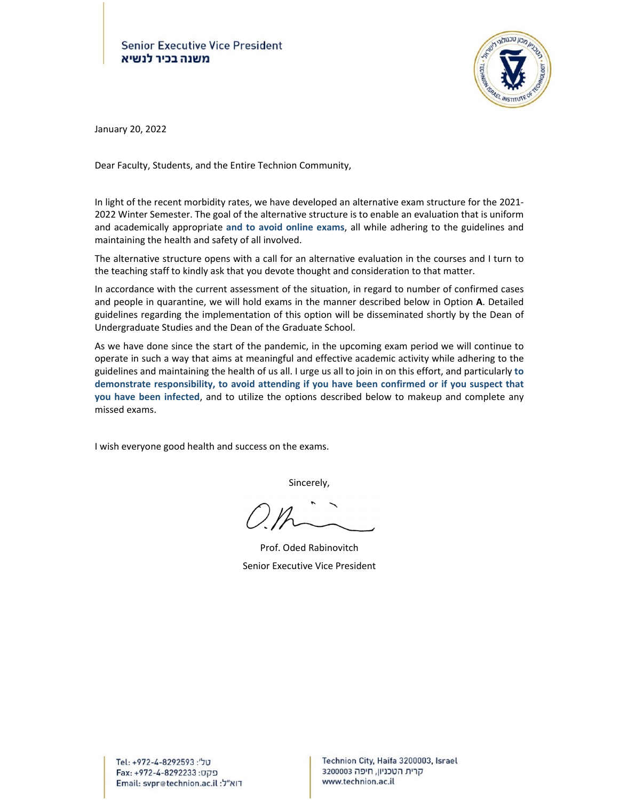

January 20, 2022

Dear Faculty, Students, and the Entire Technion Community,

In light of the recent morbidity rates, we have developed an alternative exam structure for the 2021‐ 2022 Winter Semester. The goal of the alternative structure is to enable an evaluation that is uniform and academically appropriate **and to avoid online exams**, all while adhering to the guidelines and maintaining the health and safety of all involved.

The alternative structure opens with a call for an alternative evaluation in the courses and I turn to the teaching staff to kindly ask that you devote thought and consideration to that matter.

In accordance with the current assessment of the situation, in regard to number of confirmed cases and people in quarantine, we will hold exams in the manner described below in Option **A**. Detailed guidelines regarding the implementation of this option will be disseminated shortly by the Dean of Undergraduate Studies and the Dean of the Graduate School.

As we have done since the start of the pandemic, in the upcoming exam period we will continue to operate in such a way that aims at meaningful and effective academic activity while adhering to the guidelines and maintaining the health of us all. I urge us all to join in on this effort, and particularly **to demonstrate responsibility, to avoid attending if you have been confirmed or if you suspect that you have been infected**, and to utilize the options described below to makeup and complete any missed exams.

I wish everyone good health and success on the exams.

Sincerely,

 Prof. Oded Rabinovitch Senior Executive Vice President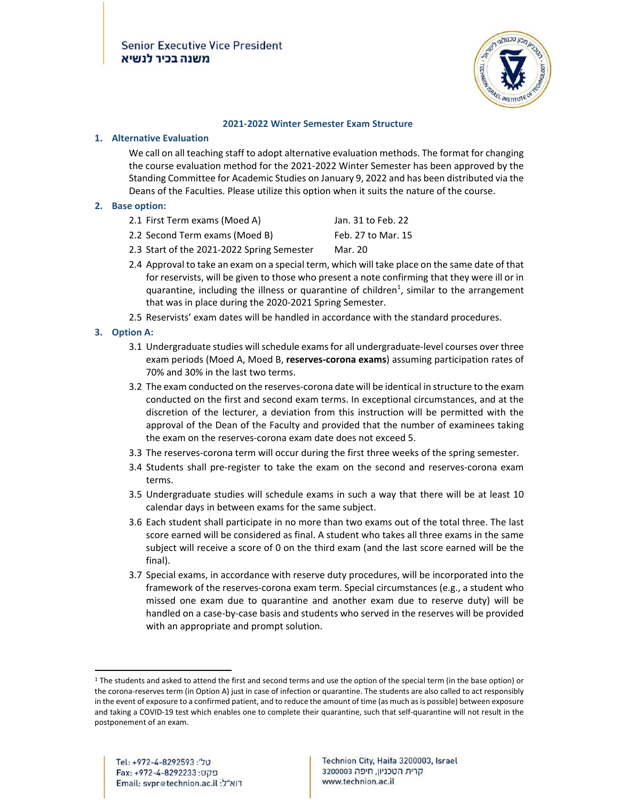

#### **2021‐2022 Winter Semester Exam Structure**

### **1. Alternative Evaluation**

We call on all teaching staff to adopt alternative evaluation methods. The format for changing the course evaluation method for the 2021‐2022 Winter Semester has been approved by the Standing Committee for Academic Studies on January 9, 2022 and has been distributed via the Deans of the Faculties. Please utilize this option when it suits the nature of the course.

### **2. Base option:**

| 2.1 First Term exams (Moed A) | Jan. 31 to Feb. 22 |
|-------------------------------|--------------------|
|-------------------------------|--------------------|

- 2.2 Second Term exams (Moed B) Feb. 27 to Mar. 15
- 2.3 Start of the 2021-2022 Spring Semester Mar. 20
- 2.4 Approval to take an exam on a special term, which will take place on the same date of that for reservists, will be given to those who present a note confirming that they were ill or in quarantine, including the illness or quarantine of children<sup>1</sup>, similar to the arrangement that was in place during the 2020‐2021 Spring Semester.
- 2.5 Reservists' exam dates will be handled in accordance with the standard procedures.

## **3. Option A:**

- 3.1 Undergraduate studies will schedule exams for all undergraduate-level courses over three exam periods (Moed A, Moed B, **reserves‐corona exams**) assuming participation rates of 70% and 30% in the last two terms.
- 3.2 The exam conducted on the reserves‐corona date will be identical in structure to the exam conducted on the first and second exam terms. In exceptional circumstances, and at the discretion of the lecturer, a deviation from this instruction will be permitted with the approval of the Dean of the Faculty and provided that the number of examinees taking the exam on the reserves‐corona exam date does not exceed 5.
- 3.3 The reserves-corona term will occur during the first three weeks of the spring semester.
- 3.4 Students shall pre‐register to take the exam on the second and reserves‐corona exam terms.
- 3.5 Undergraduate studies will schedule exams in such a way that there will be at least 10 calendar days in between exams for the same subject.
- 3.6 Each student shall participate in no more than two exams out of the total three. The last score earned will be considered as final. A student who takes all three exams in the same subject will receive a score of 0 on the third exam (and the last score earned will be the final).
- 3.7 Special exams, in accordance with reserve duty procedures, will be incorporated into the framework of the reserves‐corona exam term. Special circumstances (e.g., a student who missed one exam due to quarantine and another exam due to reserve duty) will be handled on a case-by-case basis and students who served in the reserves will be provided with an appropriate and prompt solution.

<sup>&</sup>lt;sup>1</sup> The students and asked to attend the first and second terms and use the option of the special term (in the base option) or the corona‐reserves term (in Option A) just in case of infection or quarantine. The students are also called to act responsibly in the event of exposure to a confirmed patient, and to reduce the amount of time (as much asis possible) between exposure and taking a COVID-19 test which enables one to complete their quarantine, such that self-quarantine will not result in the postponement of an exam.